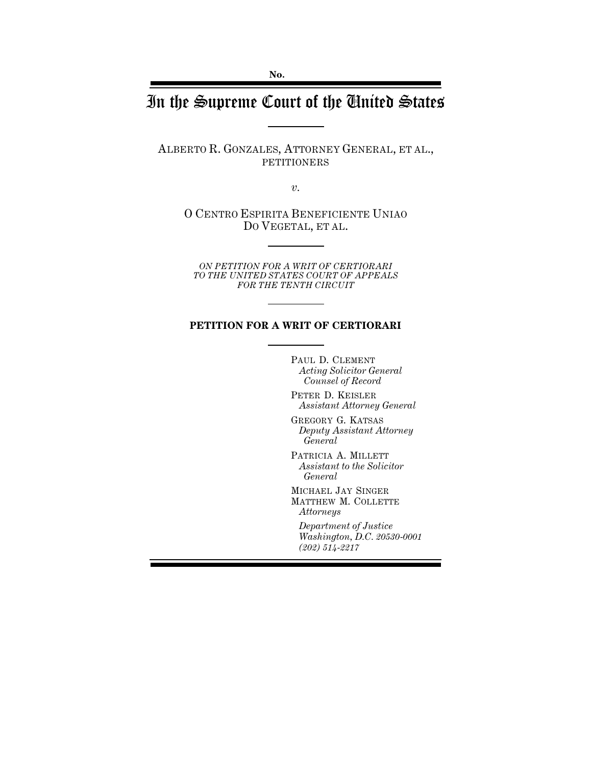# In the Supreme Court of the United States

ALBERTO R. GONZALES, ATTORNEY GENERAL, ET AL., PETITIONERS

*v.*

O CENTRO ESPIRITA BENEFICIENTE UNIAO DO VEGETAL, ET AL.

*ON PETITION FOR A WRIT OF CERTIORARI TO THE UNITED STATES COURT OF APPEALS FOR THE TENTH CIRCUIT*

### **PETITION FOR A WRIT OF CERTIORARI**

PAUL D. CLEMENT *Acting Solicitor General Counsel of Record*

PETER D. KEISLER *Assistant Attorney General*

GREGORY G. KATSAS *Deputy Assistant Attorney General*

PATRICIA A. MILLETT *Assistant to the Solicitor General*

MICHAEL JAY SINGER MATTHEW M. COLLETTE *Attorneys*

*Department of Justice Washington, D.C. 20530-0001 (202) 514-2217*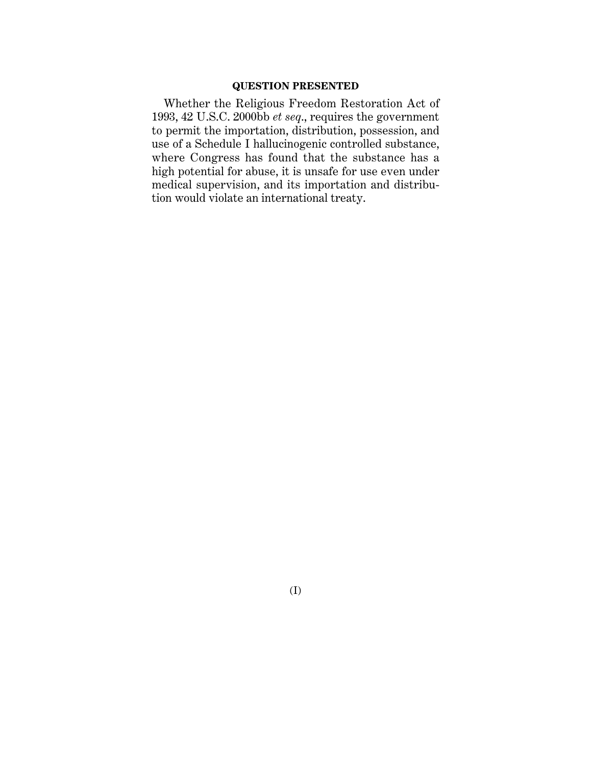### **QUESTION PRESENTED**

Whether the Religious Freedom Restoration Act of 1993, 42 U.S.C. 2000bb *et seq*., requires the government to permit the importation, distribution, possession, and use of a Schedule I hallucinogenic controlled substance, where Congress has found that the substance has a high potential for abuse, it is unsafe for use even under medical supervision, and its importation and distribution would violate an international treaty.

(I)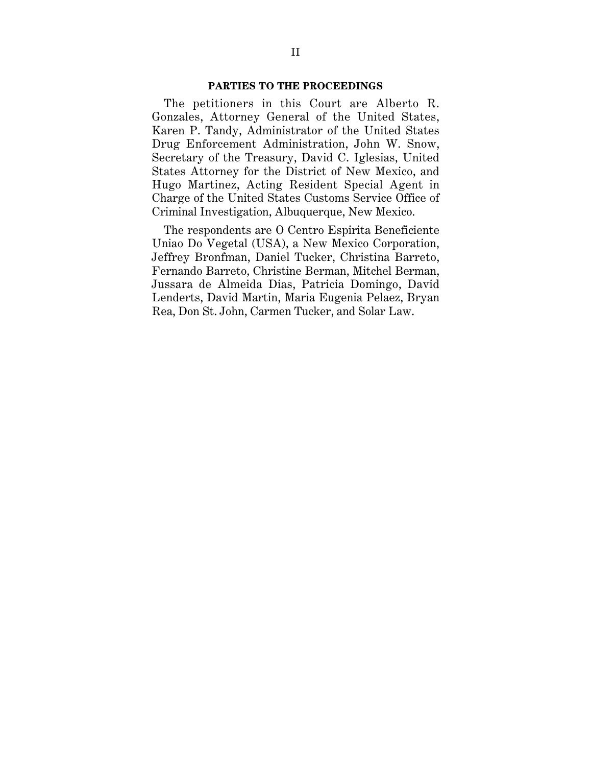### **PARTIES TO THE PROCEEDINGS**

The petitioners in this Court are Alberto R. Gonzales, Attorney General of the United States, Karen P. Tandy, Administrator of the United States Drug Enforcement Administration, John W. Snow, Secretary of the Treasury, David C. Iglesias, United States Attorney for the District of New Mexico, and Hugo Martinez, Acting Resident Special Agent in Charge of the United States Customs Service Office of Criminal Investigation, Albuquerque, New Mexico.

The respondents are O Centro Espirita Beneficiente Uniao Do Vegetal (USA), a New Mexico Corporation, Jeffrey Bronfman, Daniel Tucker, Christina Barreto, Fernando Barreto, Christine Berman, Mitchel Berman, Jussara de Almeida Dias, Patricia Domingo, David Lenderts, David Martin, Maria Eugenia Pelaez, Bryan Rea, Don St. John, Carmen Tucker, and Solar Law.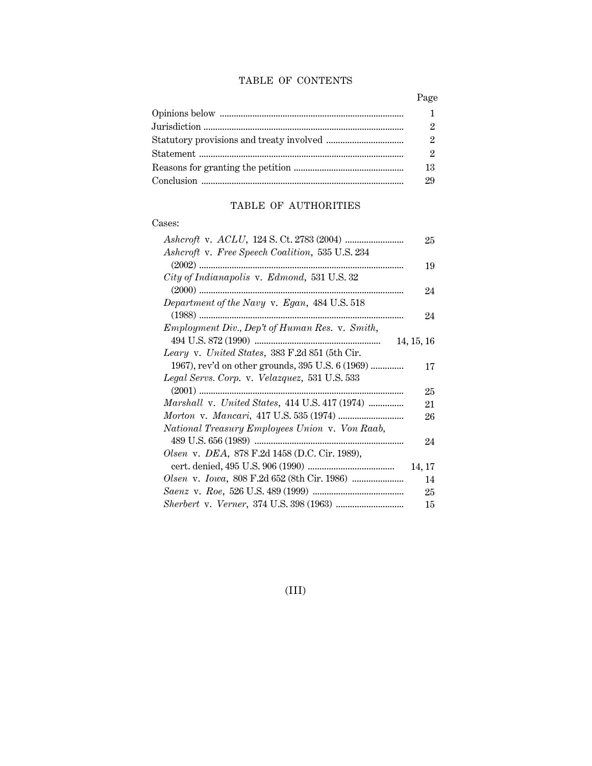## TABLE OF CONTENTS

| $\mathbf{1}$  |
|---------------|
| $\mathcal{P}$ |
| $\mathcal{P}$ |
| $\mathcal{P}$ |
| 13            |
| 29            |

# TABLE OF AUTHORITIES

### Cases:

|                                                  | 25     |
|--------------------------------------------------|--------|
| Ashcroft v. Free Speech Coalition, 535 U.S. 234  |        |
|                                                  | 19     |
| City of Indianapolis v. Edmond, 531 U.S. 32      |        |
|                                                  | 24     |
| Department of the Navy v. Egan, 484 U.S. 518     |        |
|                                                  | 24     |
| Employment Div., Dep't of Human Res. v. Smith,   |        |
| 14, 15, 16                                       |        |
| Leary v. United States, 383 F.2d 851 (5th Cir.   |        |
| 1967), rev'd on other grounds, 395 U.S. 6 (1969) | 17     |
| Legal Servs. Corp. v. Velazquez, 531 U.S. 533    |        |
|                                                  | 25     |
| Marshall v. United States, 414 U.S. 417 (1974)   | 21     |
|                                                  | 26     |
| National Treasury Employees Union v. Von Raab,   |        |
|                                                  | 24     |
| Olsen v. DEA, 878 F.2d 1458 (D.C. Cir. 1989),    |        |
|                                                  | 14, 17 |
|                                                  | 14     |
|                                                  | 25     |
|                                                  | 15     |

(III)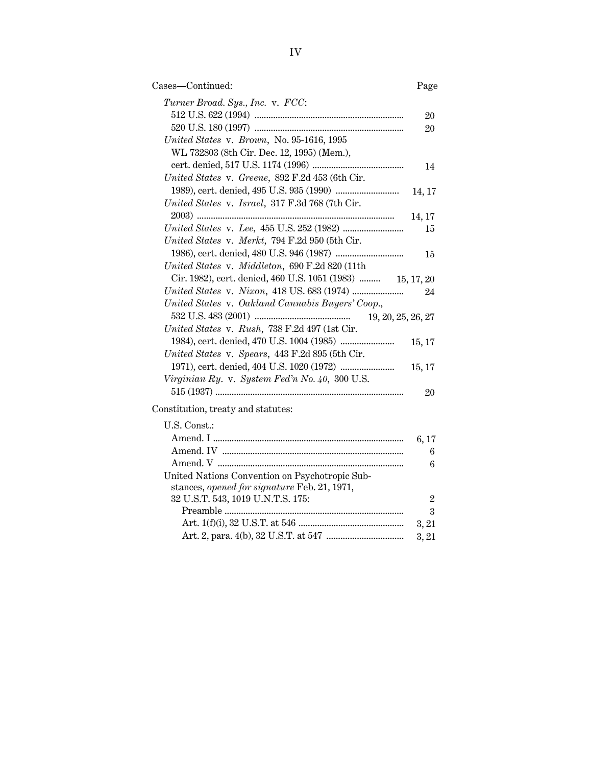| Cases-Continued:                                 | Page           |
|--------------------------------------------------|----------------|
| Turner Broad. Sys., Inc. v. FCC:                 |                |
|                                                  | 20             |
|                                                  | 20             |
| United States v. Brown, No. 95-1616, 1995        |                |
| WL 732803 (8th Cir. Dec. 12, 1995) (Mem.),       |                |
|                                                  | 14             |
| United States v. Greene, 892 F.2d 453 (6th Cir.  |                |
|                                                  | 14, 17         |
| United States v. Israel, 317 F.3d 768 (7th Cir.  |                |
|                                                  | 14, 17         |
|                                                  | 15             |
| United States v. Merkt, 794 F.2d 950 (5th Cir.   |                |
|                                                  | 15             |
| United States v. Middleton, 690 F.2d 820 (11th   |                |
| Cir. 1982), cert. denied, 460 U.S. 1051 (1983)   | 15, 17, 20     |
|                                                  | 24             |
| United States v. Oakland Cannabis Buyers' Coop., |                |
| 19, 20, 25, 26, 27                               |                |
| United States v. Rush, 738 F.2d 497 (1st Cir.    |                |
|                                                  | 15, 17         |
| United States v. Spears, 443 F.2d 895 (5th Cir.  |                |
|                                                  | 15, 17         |
| Virginian Ry. v. System Fed'n No. 40, 300 U.S.   |                |
|                                                  | 20             |
| Constitution, treaty and statutes:               |                |
| U.S. Const.:                                     |                |
|                                                  | 6,17           |
|                                                  | 6              |
|                                                  | 6              |
| United Nations Convention on Psychotropic Sub-   |                |
| stances, opened for signature Feb. 21, 1971,     |                |
| 32 U.S.T. 543, 1019 U.N.T.S. 175:                | $\overline{2}$ |
|                                                  | $\overline{3}$ |
|                                                  | 3, 21          |

Art. 2, para. 4(b), 32 U.S.T. at 547 ................................. 3, 21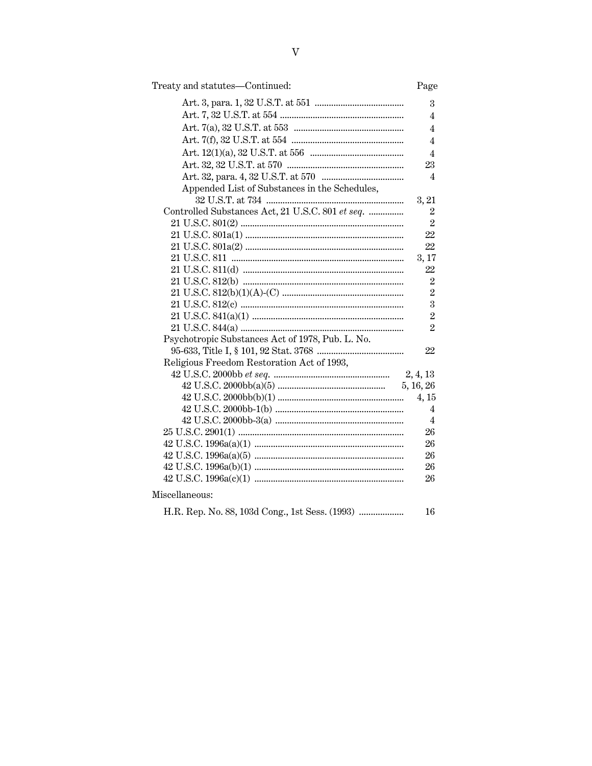### Treaty and statutes-Continued:

|                                                  | 3              |
|--------------------------------------------------|----------------|
|                                                  | $\overline{4}$ |
|                                                  | $\overline{4}$ |
|                                                  | $\overline{4}$ |
|                                                  | $\overline{4}$ |
|                                                  | 23             |
|                                                  | $\overline{4}$ |
| Appended List of Substances in the Schedules,    |                |
|                                                  | 3, 21          |
| Controlled Substances Act, 21 U.S.C. 801 et seq. | $\overline{2}$ |
|                                                  | $\overline{2}$ |
|                                                  | 22             |
|                                                  | 22             |
|                                                  | 3,17           |
|                                                  | 22             |
|                                                  | $\overline{2}$ |
|                                                  | $\overline{2}$ |
|                                                  | 3              |
|                                                  | $\overline{2}$ |
|                                                  | $\overline{2}$ |
| Psychotropic Substances Act of 1978, Pub. L. No. |                |
|                                                  | 22             |
| Religious Freedom Restoration Act of 1993,       |                |
|                                                  | 2, 4, 13       |
|                                                  | 5, 16, 26      |
|                                                  | 4, 15          |
|                                                  | 4              |
|                                                  | $\overline{4}$ |
|                                                  | 26             |
|                                                  | 26             |
|                                                  | 26             |
|                                                  | 26             |
|                                                  | 26             |
| Miscellaneous:                                   |                |
|                                                  | 16             |
|                                                  |                |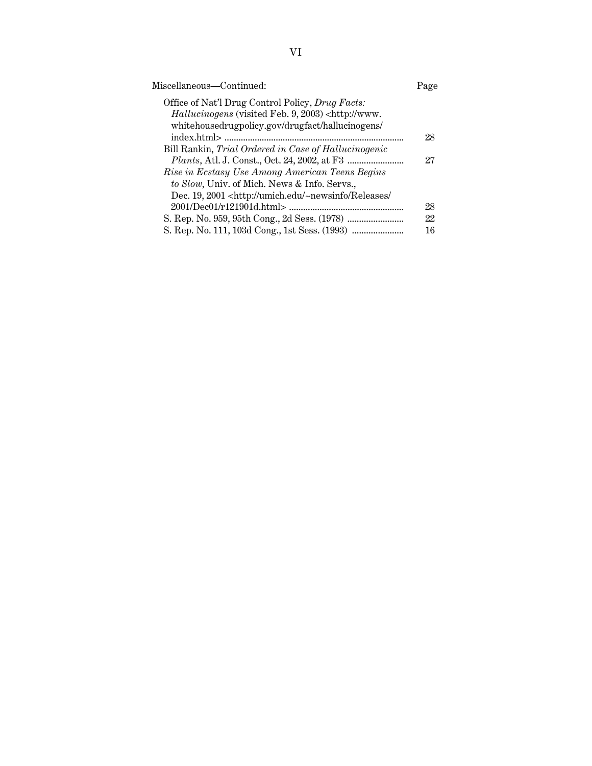| Miscellaneous—Continued:                                                                | age |
|-----------------------------------------------------------------------------------------|-----|
| Office of Nat'l Drug Control Policy, Drug Facts:                                        |     |
| <i>Hallucinogens</i> (visited Feb. 9, 2003) <http: td="" www.<=""><td></td></http:>     |     |
| whitehousedrugpolicy.gov/drugfact/hallucinogens/                                        |     |
|                                                                                         | 28  |
| Bill Rankin, Trial Ordered in Case of Hallucinogenic                                    |     |
|                                                                                         | 27  |
| Rise in Ecstasy Use Among American Teens Begins                                         |     |
| to Slow, Univ. of Mich. News & Info. Servs.,                                            |     |
| Dec. 19, 2001 <http: <="" releases="" td="" umich.edu="" ~newsinfo=""><td></td></http:> |     |
|                                                                                         | 28  |
|                                                                                         | 22  |
|                                                                                         | 16  |
|                                                                                         |     |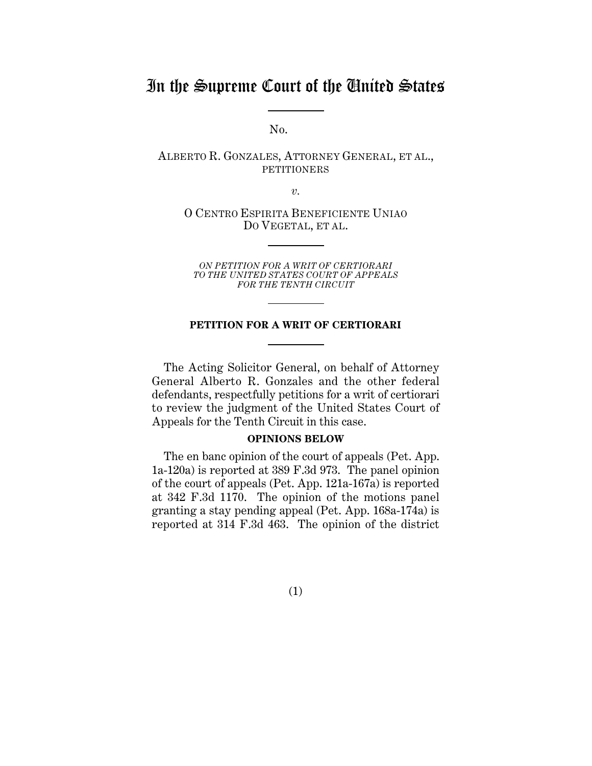# In the Supreme Court of the United States

No.

ALBERTO R. GONZALES, ATTORNEY GENERAL, ET AL., PETITIONERS

*v.*

O CENTRO ESPIRITA BENEFICIENTE UNIAO DO VEGETAL, ET AL.

*ON PETITION FOR A WRIT OF CERTIORARI TO THE UNITED STATES COURT OF APPEALS FOR THE TENTH CIRCUIT*

### **PETITION FOR A WRIT OF CERTIORARI**

The Acting Solicitor General, on behalf of Attorney General Alberto R. Gonzales and the other federal defendants, respectfully petitions for a writ of certiorari to review the judgment of the United States Court of Appeals for the Tenth Circuit in this case.

### **OPINIONS BELOW**

The en banc opinion of the court of appeals (Pet. App. 1a-120a) is reported at 389 F.3d 973. The panel opinion of the court of appeals (Pet. App. 121a-167a) is reported at 342 F.3d 1170. The opinion of the motions panel granting a stay pending appeal (Pet. App. 168a-174a) is reported at 314 F.3d 463. The opinion of the district

(1)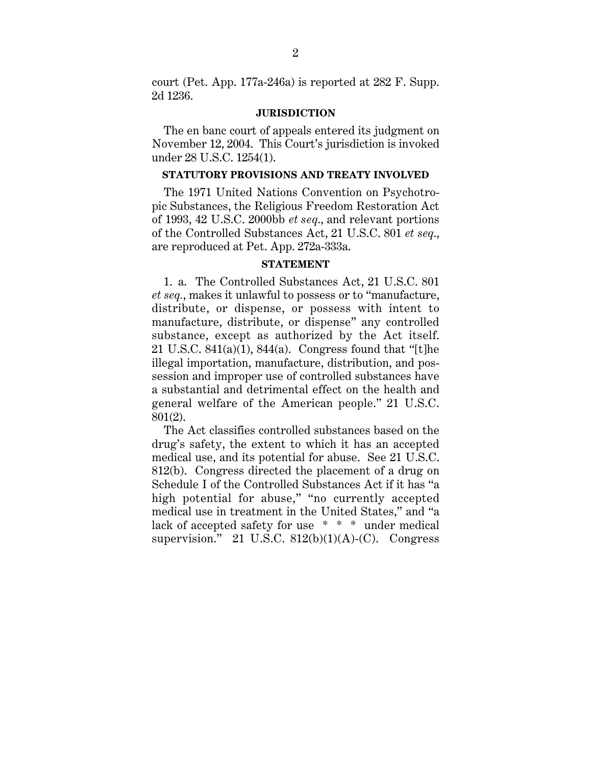court (Pet. App. 177a-246a) is reported at 282 F. Supp. 2d 1236.

### **JURISDICTION**

The en banc court of appeals entered its judgment on November 12, 2004. This Court's jurisdiction is invoked under 28 U.S.C. 1254(1).

### **STATUTORY PROVISIONS AND TREATY INVOLVED**

The 1971 United Nations Convention on Psychotropic Substances, the Religious Freedom Restoration Act of 1993, 42 U.S.C. 2000bb *et seq*., and relevant portions of the Controlled Substances Act, 21 U.S.C. 801 *et seq*., are reproduced at Pet. App. 272a-333a.

### **STATEMENT**

1. a. The Controlled Substances Act, 21 U.S.C. 801 *et seq.*, makes it unlawful to possess or to "manufacture, distribute, or dispense, or possess with intent to manufacture, distribute, or dispense" any controlled substance, except as authorized by the Act itself. 21 U.S.C. 841(a)(1), 844(a). Congress found that "[t]he illegal importation, manufacture, distribution, and possession and improper use of controlled substances have a substantial and detrimental effect on the health and general welfare of the American people." 21 U.S.C. 801(2).

The Act classifies controlled substances based on the drug's safety, the extent to which it has an accepted medical use, and its potential for abuse. See 21 U.S.C. 812(b). Congress directed the placement of a drug on Schedule I of the Controlled Substances Act if it has "a high potential for abuse," "no currently accepted medical use in treatment in the United States," and "a lack of accepted safety for use \* \* \* under medical supervision." 21 U.S.C.  $812(b)(1)(A)-(C)$ . Congress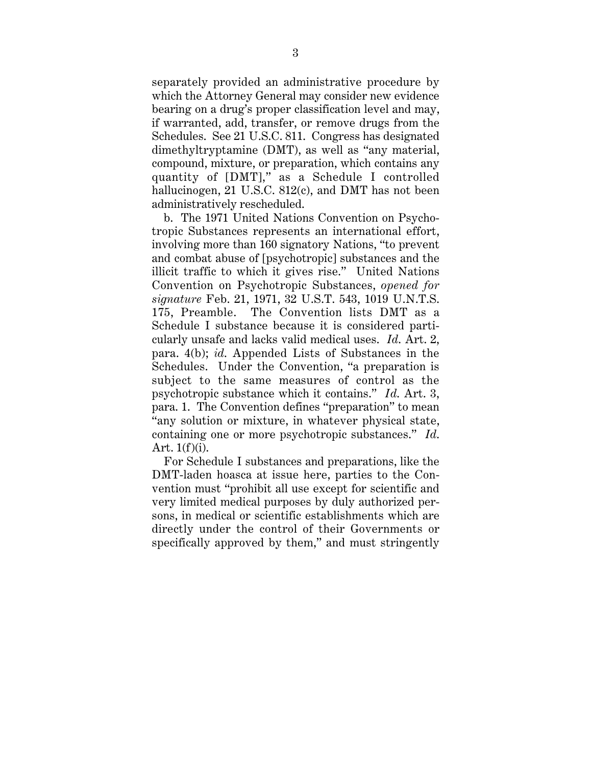separately provided an administrative procedure by which the Attorney General may consider new evidence bearing on a drug's proper classification level and may, if warranted, add, transfer, or remove drugs from the Schedules. See 21 U.S.C. 811. Congress has designated dimethyltryptamine (DMT), as well as "any material, compound, mixture, or preparation, which contains any quantity of [DMT]," as a Schedule I controlled hallucinogen, 21 U.S.C. 812(c), and DMT has not been administratively rescheduled.

b. The 1971 United Nations Convention on Psychotropic Substances represents an international effort, involving more than 160 signatory Nations, "to prevent and combat abuse of [psychotropic] substances and the illicit traffic to which it gives rise." United Nations Convention on Psychotropic Substances, *opened for signature* Feb. 21, 1971, 32 U.S.T. 543, 1019 U.N.T.S. 175, Preamble. The Convention lists DMT as a Schedule I substance because it is considered particularly unsafe and lacks valid medical uses. *Id*. Art. 2, para. 4(b); *id*. Appended Lists of Substances in the Schedules. Under the Convention, "a preparation is subject to the same measures of control as the psychotropic substance which it contains." *Id*. Art. 3, para. 1. The Convention defines "preparation" to mean "any solution or mixture, in whatever physical state, containing one or more psychotropic substances." *Id*. Art.  $1(f)(i)$ .

For Schedule I substances and preparations, like the DMT-laden hoasca at issue here, parties to the Convention must "prohibit all use except for scientific and very limited medical purposes by duly authorized persons, in medical or scientific establishments which are directly under the control of their Governments or specifically approved by them," and must stringently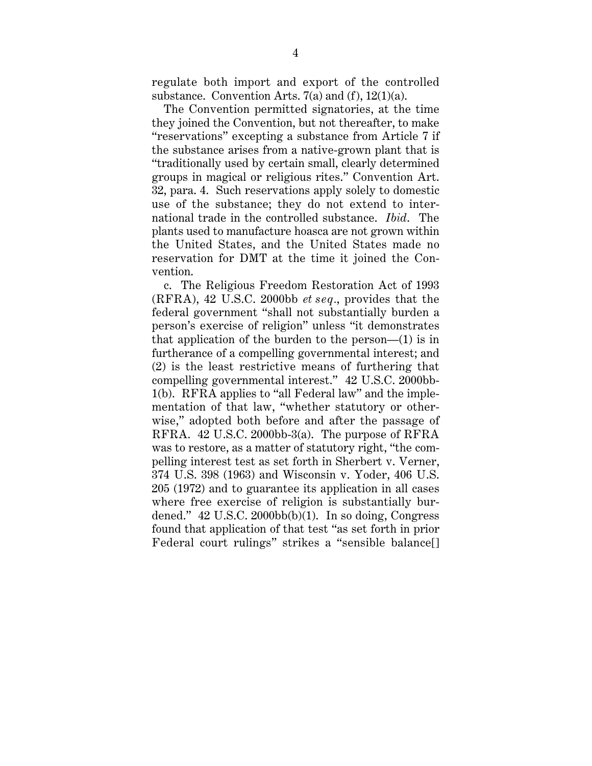regulate both import and export of the controlled substance. Convention Arts.  $7(a)$  and  $(f)$ ,  $12(1)(a)$ .

The Convention permitted signatories, at the time they joined the Convention, but not thereafter, to make "reservations" excepting a substance from Article 7 if the substance arises from a native-grown plant that is "traditionally used by certain small, clearly determined groups in magical or religious rites." Convention Art. 32, para. 4. Such reservations apply solely to domestic use of the substance; they do not extend to international trade in the controlled substance. *Ibid*. The plants used to manufacture hoasca are not grown within the United States, and the United States made no reservation for DMT at the time it joined the Convention.

c. The Religious Freedom Restoration Act of 1993 (RFRA), 42 U.S.C. 2000bb *et seq.*, provides that the federal government "shall not substantially burden a person's exercise of religion" unless "it demonstrates that application of the burden to the person—(1) is in furtherance of a compelling governmental interest; and (2) is the least restrictive means of furthering that compelling governmental interest." 42 U.S.C. 2000bb-1(b). RFRA applies to "all Federal law" and the implementation of that law, "whether statutory or otherwise," adopted both before and after the passage of RFRA. 42 U.S.C. 2000bb-3(a). The purpose of RFRA was to restore, as a matter of statutory right, "the compelling interest test as set forth in Sherbert v. Verner, 374 U.S. 398 (1963) and Wisconsin v. Yoder, 406 U.S. 205 (1972) and to guarantee its application in all cases where free exercise of religion is substantially burdened."  $42 \text{ U.S.C. } 2000 \text{bb(b)}(1)$ . In so doing, Congress found that application of that test "as set forth in prior Federal court rulings" strikes a "sensible balance[]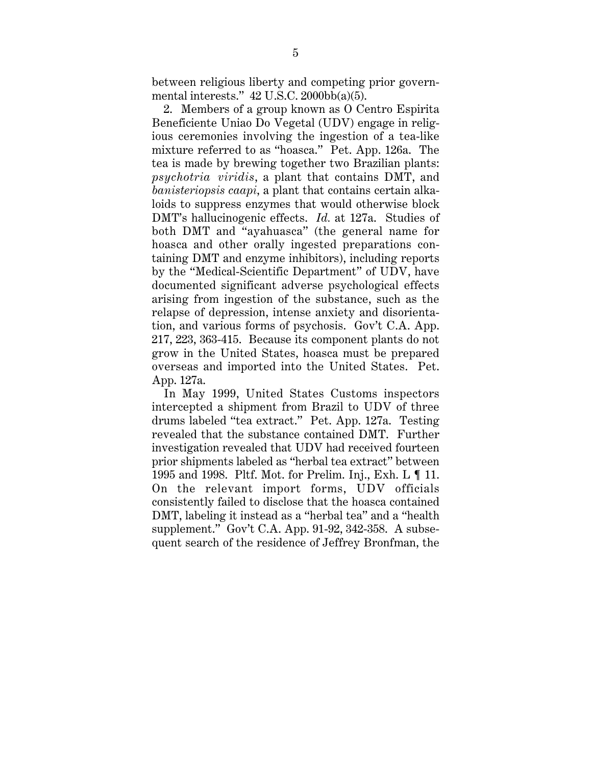between religious liberty and competing prior governmental interests."  $42$  U.S.C.  $2000bb(a)(5)$ .

2. Members of a group known as O Centro Espirita Beneficiente Uniao Do Vegetal (UDV) engage in religious ceremonies involving the ingestion of a tea-like mixture referred to as "hoasca." Pet. App. 126a. The tea is made by brewing together two Brazilian plants: *psychotria viridis*, a plant that contains DMT, and *banisteriopsis caapi*, a plant that contains certain alkaloids to suppress enzymes that would otherwise block DMT's hallucinogenic effects. *Id.* at 127a. Studies of both DMT and "ayahuasca" (the general name for hoasca and other orally ingested preparations containing DMT and enzyme inhibitors), including reports by the "Medical-Scientific Department" of UDV, have documented significant adverse psychological effects arising from ingestion of the substance, such as the relapse of depression, intense anxiety and disorientation, and various forms of psychosis. Gov't C.A. App. 217, 223, 363-415. Because its component plants do not grow in the United States, hoasca must be prepared overseas and imported into the United States. Pet. App. 127a.

In May 1999, United States Customs inspectors intercepted a shipment from Brazil to UDV of three drums labeled "tea extract." Pet. App. 127a. Testing revealed that the substance contained DMT. Further investigation revealed that UDV had received fourteen prior shipments labeled as "herbal tea extract" between 1995 and 1998. Pltf. Mot. for Prelim. Inj., Exh. L ¶ 11. On the relevant import forms, UDV officials consistently failed to disclose that the hoasca contained DMT, labeling it instead as a "herbal tea" and a "health supplement." Gov't C.A. App. 91-92, 342-358. A subsequent search of the residence of Jeffrey Bronfman, the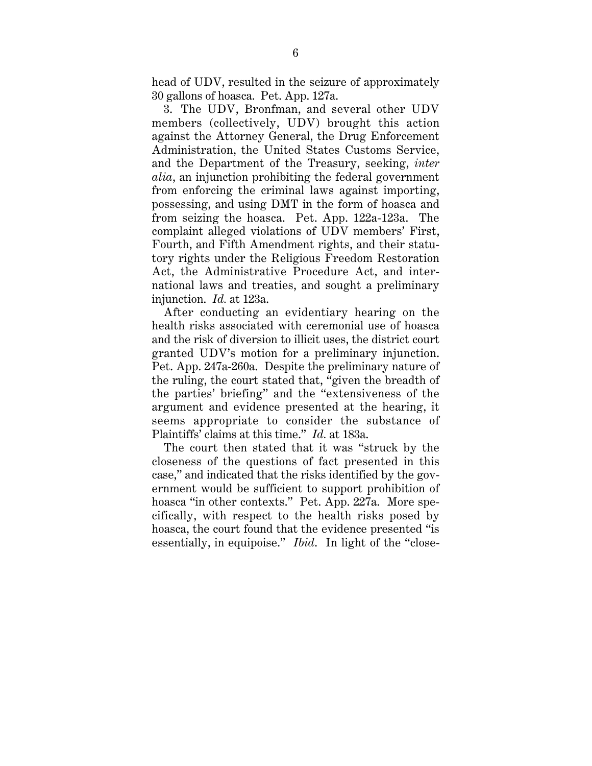head of UDV, resulted in the seizure of approximately 30 gallons of hoasca. Pet. App. 127a.

3. The UDV, Bronfman, and several other UDV members (collectively, UDV) brought this action against the Attorney General, the Drug Enforcement Administration, the United States Customs Service, and the Department of the Treasury, seeking, *inter alia*, an injunction prohibiting the federal government from enforcing the criminal laws against importing, possessing, and using DMT in the form of hoasca and from seizing the hoasca. Pet. App. 122a-123a. The complaint alleged violations of UDV members' First, Fourth, and Fifth Amendment rights, and their statutory rights under the Religious Freedom Restoration Act, the Administrative Procedure Act, and international laws and treaties, and sought a preliminary injunction. *Id.* at 123a.

After conducting an evidentiary hearing on the health risks associated with ceremonial use of hoasca and the risk of diversion to illicit uses, the district court granted UDV's motion for a preliminary injunction. Pet. App. 247a-260a. Despite the preliminary nature of the ruling, the court stated that, "given the breadth of the parties' briefing" and the "extensiveness of the argument and evidence presented at the hearing, it seems appropriate to consider the substance of Plaintiffs' claims at this time." *Id.* at 183a.

The court then stated that it was "struck by the closeness of the questions of fact presented in this case," and indicated that the risks identified by the government would be sufficient to support prohibition of hoasca "in other contexts." Pet. App. 227a. More specifically, with respect to the health risks posed by hoasca, the court found that the evidence presented "is essentially, in equipoise." *Ibid*. In light of the "close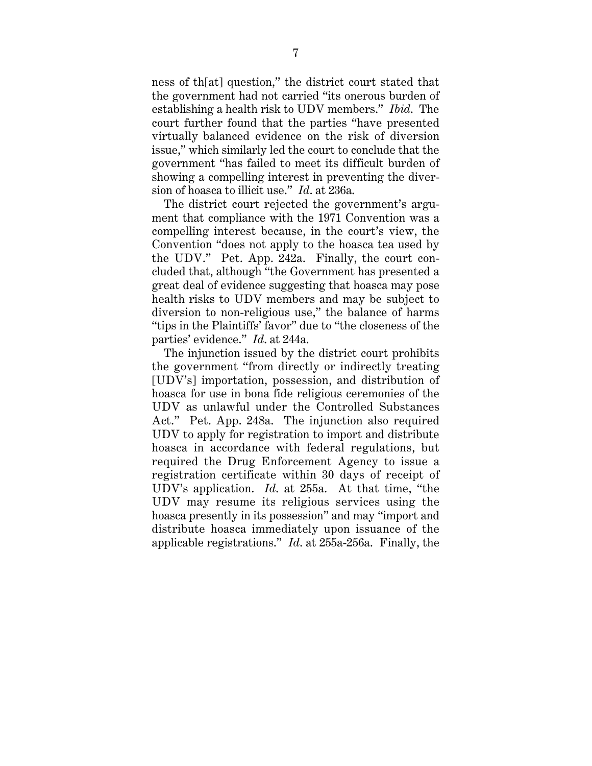ness of th[at] question," the district court stated that the government had not carried "its onerous burden of establishing a health risk to UDV members." *Ibid*. The court further found that the parties "have presented virtually balanced evidence on the risk of diversion issue," which similarly led the court to conclude that the government "has failed to meet its difficult burden of showing a compelling interest in preventing the diversion of hoasca to illicit use." *Id*. at 236a.

The district court rejected the government's argument that compliance with the 1971 Convention was a compelling interest because, in the court's view, the Convention "does not apply to the hoasca tea used by the UDV." Pet. App. 242a. Finally, the court concluded that, although "the Government has presented a great deal of evidence suggesting that hoasca may pose health risks to UDV members and may be subject to diversion to non-religious use," the balance of harms "tips in the Plaintiffs' favor" due to "the closeness of the parties' evidence." *Id*. at 244a.

The injunction issued by the district court prohibits the government "from directly or indirectly treating [UDV's] importation, possession, and distribution of hoasca for use in bona fide religious ceremonies of the UDV as unlawful under the Controlled Substances Act." Pet. App. 248a. The injunction also required UDV to apply for registration to import and distribute hoasca in accordance with federal regulations, but required the Drug Enforcement Agency to issue a registration certificate within 30 days of receipt of UDV's application. *Id*. at 255a. At that time, "the UDV may resume its religious services using the hoasca presently in its possession" and may "import and distribute hoasca immediately upon issuance of the applicable registrations." *Id*. at 255a-256a. Finally, the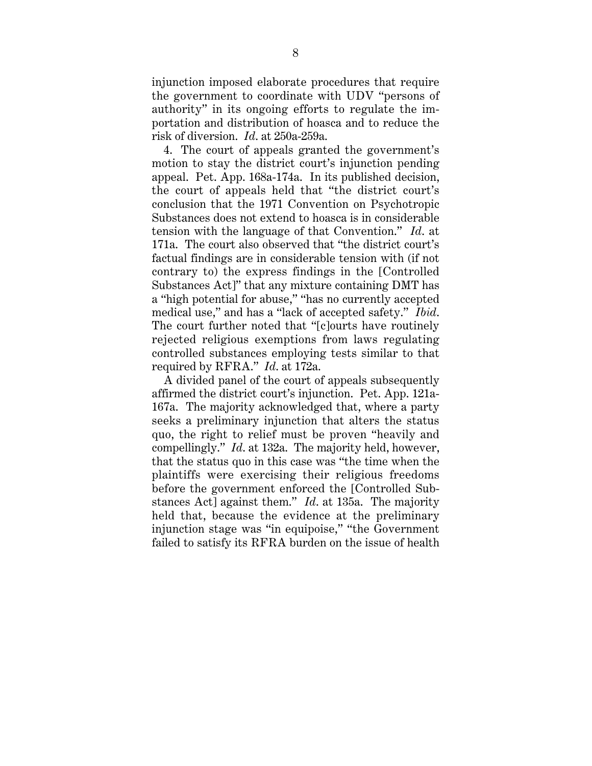injunction imposed elaborate procedures that require the government to coordinate with UDV "persons of authority" in its ongoing efforts to regulate the importation and distribution of hoasca and to reduce the risk of diversion. *Id*. at 250a-259a.

4. The court of appeals granted the government's motion to stay the district court's injunction pending appeal. Pet. App. 168a-174a. In its published decision, the court of appeals held that "the district court's conclusion that the 1971 Convention on Psychotropic Substances does not extend to hoasca is in considerable tension with the language of that Convention." *Id*. at 171a. The court also observed that "the district court's factual findings are in considerable tension with (if not contrary to) the express findings in the [Controlled Substances Act]" that any mixture containing DMT has a "high potential for abuse," "has no currently accepted medical use," and has a "lack of accepted safety." *Ibid*. The court further noted that "[c]ourts have routinely rejected religious exemptions from laws regulating controlled substances employing tests similar to that required by RFRA." *Id*. at 172a.

A divided panel of the court of appeals subsequently affirmed the district court's injunction. Pet. App. 121a-167a. The majority acknowledged that, where a party seeks a preliminary injunction that alters the status quo, the right to relief must be proven "heavily and compellingly." *Id*. at 132a. The majority held, however, that the status quo in this case was "the time when the plaintiffs were exercising their religious freedoms before the government enforced the [Controlled Substances Act] against them." *Id*. at 135a. The majority held that, because the evidence at the preliminary injunction stage was "in equipoise," "the Government failed to satisfy its RFRA burden on the issue of health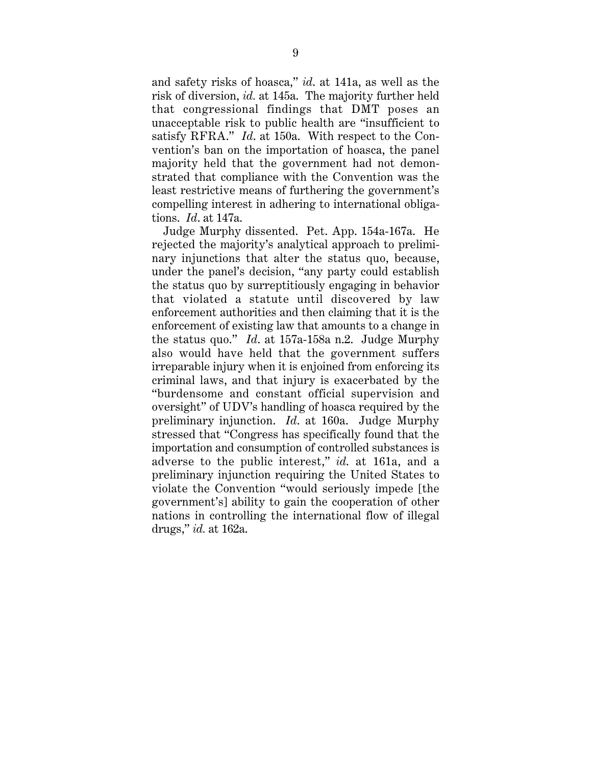and safety risks of hoasca," *id*. at 141a, as well as the risk of diversion, *id.* at 145a. The majority further held that congressional findings that DMT poses an unacceptable risk to public health are "insufficient to satisfy RFRA." *Id*. at 150a. With respect to the Convention's ban on the importation of hoasca, the panel majority held that the government had not demonstrated that compliance with the Convention was the least restrictive means of furthering the government's compelling interest in adhering to international obligations. *Id*. at 147a.

Judge Murphy dissented. Pet. App. 154a-167a. He rejected the majority's analytical approach to preliminary injunctions that alter the status quo, because, under the panel's decision, "any party could establish the status quo by surreptitiously engaging in behavior that violated a statute until discovered by law enforcement authorities and then claiming that it is the enforcement of existing law that amounts to a change in the status quo." *Id*. at 157a-158a n.2. Judge Murphy also would have held that the government suffers irreparable injury when it is enjoined from enforcing its criminal laws, and that injury is exacerbated by the "burdensome and constant official supervision and oversight" of UDV's handling of hoasca required by the preliminary injunction. *Id*. at 160a. Judge Murphy stressed that "Congress has specifically found that the importation and consumption of controlled substances is adverse to the public interest," *id*. at 161a, and a preliminary injunction requiring the United States to violate the Convention "would seriously impede [the government's] ability to gain the cooperation of other nations in controlling the international flow of illegal drugs," *id.* at 162a.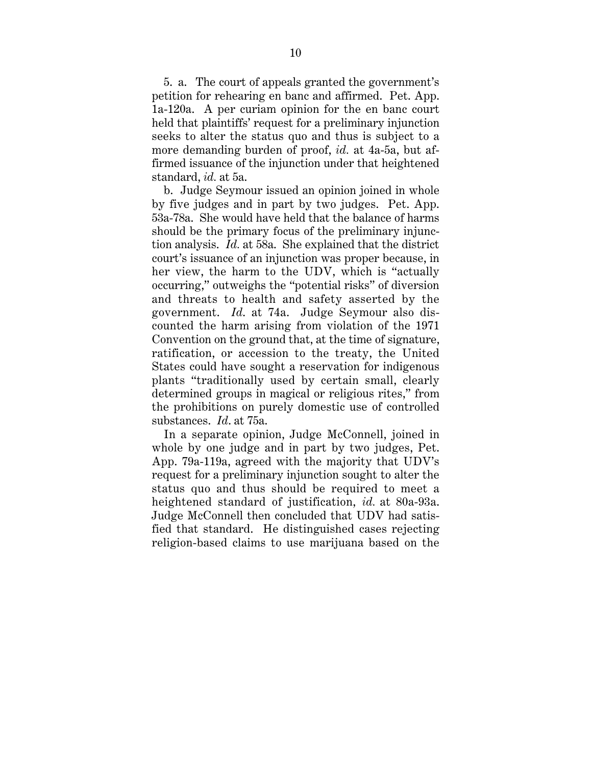5. a. The court of appeals granted the government's petition for rehearing en banc and affirmed. Pet. App. 1a-120a. A per curiam opinion for the en banc court held that plaintiffs' request for a preliminary injunction seeks to alter the status quo and thus is subject to a more demanding burden of proof, *id.* at 4a-5a, but affirmed issuance of the injunction under that heightened standard, *id.* at 5a.

b. Judge Seymour issued an opinion joined in whole by five judges and in part by two judges. Pet. App. 53a-78a. She would have held that the balance of harms should be the primary focus of the preliminary injunction analysis. *Id.* at 58a. She explained that the district court's issuance of an injunction was proper because, in her view, the harm to the UDV, which is "actually occurring," outweighs the "potential risks" of diversion and threats to health and safety asserted by the government. *Id*. at 74a. Judge Seymour also discounted the harm arising from violation of the 1971 Convention on the ground that, at the time of signature, ratification, or accession to the treaty, the United States could have sought a reservation for indigenous plants "traditionally used by certain small, clearly determined groups in magical or religious rites," from the prohibitions on purely domestic use of controlled substances. *Id*. at 75a.

In a separate opinion, Judge McConnell, joined in whole by one judge and in part by two judges, Pet. App. 79a-119a, agreed with the majority that UDV's request for a preliminary injunction sought to alter the status quo and thus should be required to meet a heightened standard of justification, *id.* at 80a-93a. Judge McConnell then concluded that UDV had satisfied that standard. He distinguished cases rejecting religion-based claims to use marijuana based on the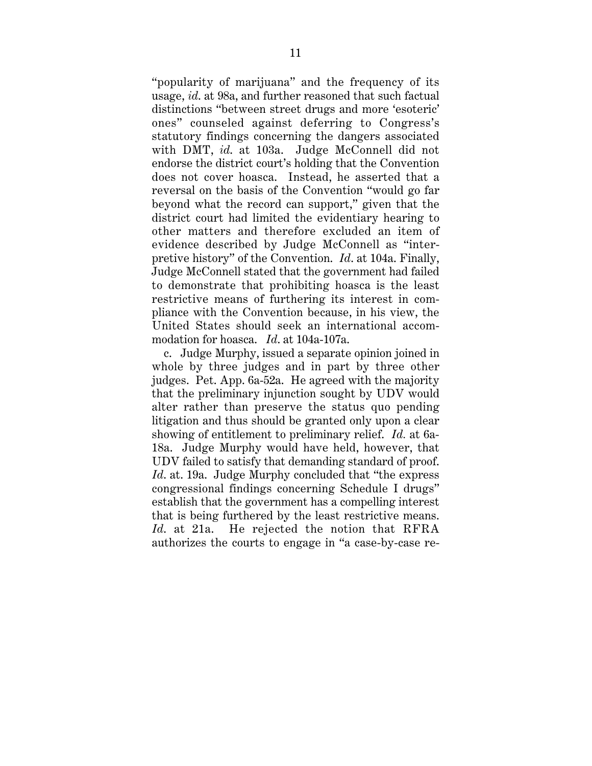"popularity of marijuana" and the frequency of its usage, *id*. at 98a, and further reasoned that such factual distinctions "between street drugs and more 'esoteric' ones" counseled against deferring to Congress's statutory findings concerning the dangers associated with DMT, *id*. at 103a. Judge McConnell did not endorse the district court's holding that the Convention does not cover hoasca. Instead, he asserted that a reversal on the basis of the Convention "would go far beyond what the record can support," given that the district court had limited the evidentiary hearing to other matters and therefore excluded an item of evidence described by Judge McConnell as "interpretive history" of the Convention. *Id*. at 104a. Finally, Judge McConnell stated that the government had failed to demonstrate that prohibiting hoasca is the least restrictive means of furthering its interest in compliance with the Convention because, in his view, the United States should seek an international accommodation for hoasca. *Id*. at 104a-107a.

c. Judge Murphy, issued a separate opinion joined in whole by three judges and in part by three other judges. Pet. App. 6a-52a. He agreed with the majority that the preliminary injunction sought by UDV would alter rather than preserve the status quo pending litigation and thus should be granted only upon a clear showing of entitlement to preliminary relief. *Id.* at 6a-18a. Judge Murphy would have held, however, that UDV failed to satisfy that demanding standard of proof. *Id*. at. 19a. Judge Murphy concluded that "the express congressional findings concerning Schedule I drugs" establish that the government has a compelling interest that is being furthered by the least restrictive means. *Id*. at 21a. He rejected the notion that RFRA authorizes the courts to engage in "a case-by-case re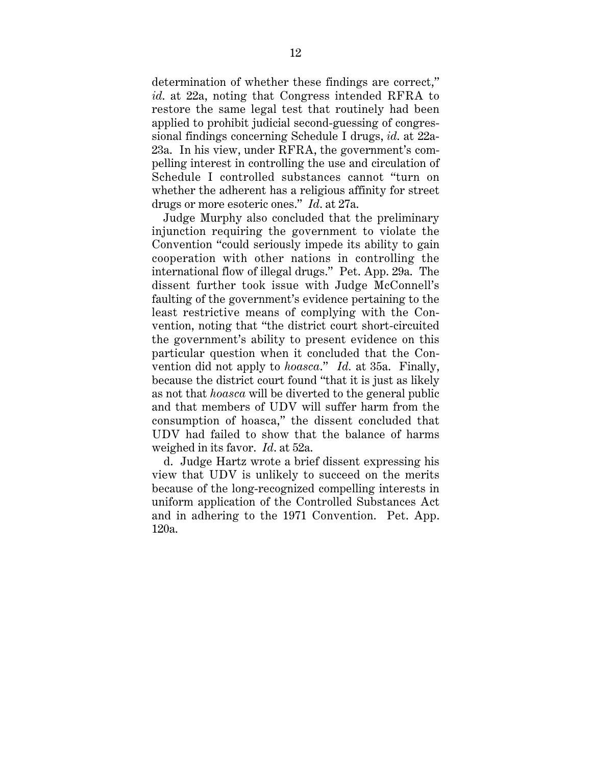determination of whether these findings are correct," *id*. at 22a, noting that Congress intended RFRA to restore the same legal test that routinely had been applied to prohibit judicial second-guessing of congressional findings concerning Schedule I drugs, *id*. at 22a-23a. In his view, under RFRA, the government's compelling interest in controlling the use and circulation of Schedule I controlled substances cannot "turn on whether the adherent has a religious affinity for street drugs or more esoteric ones." *Id*. at 27a.

Judge Murphy also concluded that the preliminary injunction requiring the government to violate the Convention "could seriously impede its ability to gain cooperation with other nations in controlling the international flow of illegal drugs." Pet. App. 29a. The dissent further took issue with Judge McConnell's faulting of the government's evidence pertaining to the least restrictive means of complying with the Convention, noting that "the district court short-circuited the government's ability to present evidence on this particular question when it concluded that the Convention did not apply to *hoasca*." *Id.* at 35a. Finally, because the district court found "that it is just as likely as not that *hoasca* will be diverted to the general public and that members of UDV will suffer harm from the consumption of hoasca," the dissent concluded that UDV had failed to show that the balance of harms weighed in its favor. *Id*. at 52a.

d. Judge Hartz wrote a brief dissent expressing his view that UDV is unlikely to succeed on the merits because of the long-recognized compelling interests in uniform application of the Controlled Substances Act and in adhering to the 1971 Convention. Pet. App. 120a.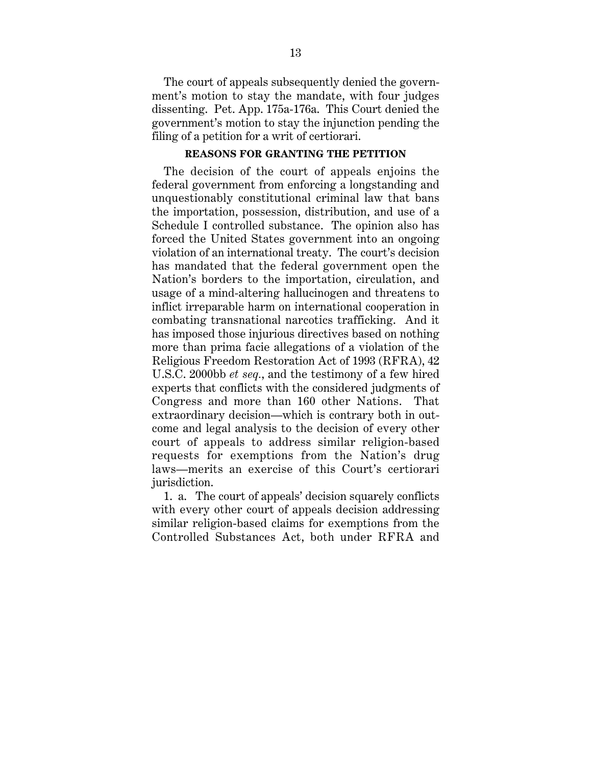The court of appeals subsequently denied the government's motion to stay the mandate, with four judges dissenting. Pet. App. 175a-176a. This Court denied the government's motion to stay the injunction pending the filing of a petition for a writ of certiorari.

### **REASONS FOR GRANTING THE PETITION**

The decision of the court of appeals enjoins the federal government from enforcing a longstanding and unquestionably constitutional criminal law that bans the importation, possession, distribution, and use of a Schedule I controlled substance. The opinion also has forced the United States government into an ongoing violation of an international treaty. The court's decision has mandated that the federal government open the Nation's borders to the importation, circulation, and usage of a mind-altering hallucinogen and threatens to inflict irreparable harm on international cooperation in combating transnational narcotics trafficking. And it has imposed those injurious directives based on nothing more than prima facie allegations of a violation of the Religious Freedom Restoration Act of 1993 (RFRA), 42 U.S.C. 2000bb *et seq.*, and the testimony of a few hired experts that conflicts with the considered judgments of Congress and more than 160 other Nations. That extraordinary decision—which is contrary both in outcome and legal analysis to the decision of every other court of appeals to address similar religion-based requests for exemptions from the Nation's drug laws—merits an exercise of this Court's certiorari jurisdiction.

1. a. The court of appeals' decision squarely conflicts with every other court of appeals decision addressing similar religion-based claims for exemptions from the Controlled Substances Act, both under RFRA and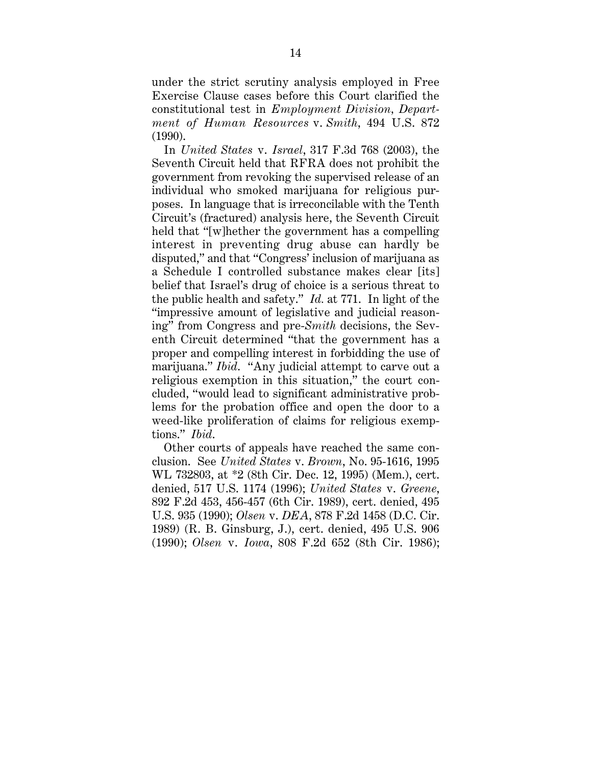under the strict scrutiny analysis employed in Free Exercise Clause cases before this Court clarified the constitutional test in *Employment Division, Department of Human Resources* v. *Smith*, 494 U.S. 872 (1990).

In *United States* v. *Israel*, 317 F.3d 768 (2003), the Seventh Circuit held that RFRA does not prohibit the government from revoking the supervised release of an individual who smoked marijuana for religious purposes. In language that is irreconcilable with the Tenth Circuit's (fractured) analysis here, the Seventh Circuit held that "[w]hether the government has a compelling interest in preventing drug abuse can hardly be disputed," and that "Congress' inclusion of marijuana as a Schedule I controlled substance makes clear [its] belief that Israel's drug of choice is a serious threat to the public health and safety." *Id.* at 771. In light of the "impressive amount of legislative and judicial reasoning" from Congress and pre-*Smith* decisions, the Seventh Circuit determined "that the government has a proper and compelling interest in forbidding the use of marijuana." *Ibid*. "Any judicial attempt to carve out a religious exemption in this situation," the court concluded, "would lead to significant administrative problems for the probation office and open the door to a weed-like proliferation of claims for religious exemptions." *Ibid*.

Other courts of appeals have reached the same conclusion. See *United States* v. *Brown*, No. 95-1616, 1995 WL 732803, at \*2 (8th Cir. Dec. 12, 1995) (Mem.), cert. denied, 517 U.S. 1174 (1996); *United States* v. *Greene*, 892 F.2d 453, 456-457 (6th Cir. 1989), cert. denied, 495 U.S. 935 (1990); *Olsen* v. *DEA*, 878 F.2d 1458 (D.C. Cir. 1989) (R. B. Ginsburg, J.), cert. denied, 495 U.S. 906 (1990); *Olsen* v. *Iowa*, 808 F.2d 652 (8th Cir. 1986);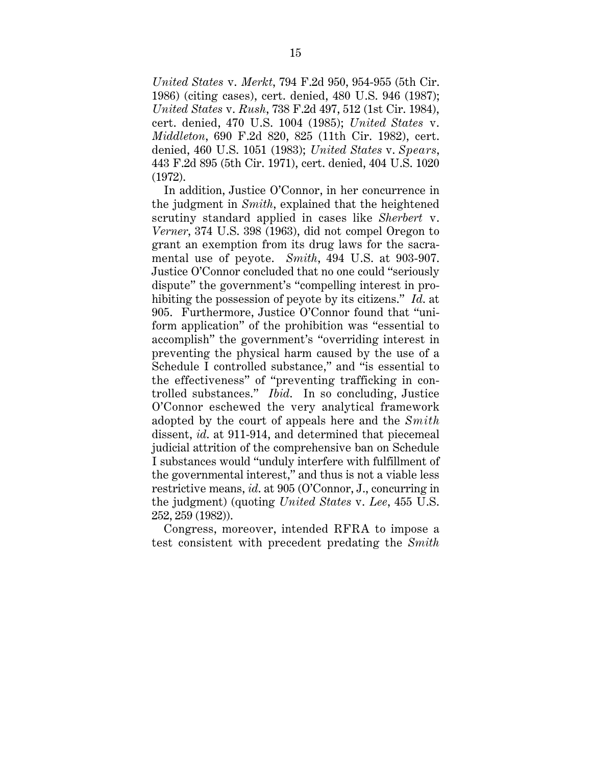*United States* v. *Merkt*, 794 F.2d 950, 954-955 (5th Cir. 1986) (citing cases), cert. denied, 480 U.S. 946 (1987); *United States* v. *Rush*, 738 F.2d 497, 512 (1st Cir. 1984), cert. denied, 470 U.S. 1004 (1985); *United States* v. *Middleton*, 690 F.2d 820, 825 (11th Cir. 1982), cert. denied, 460 U.S. 1051 (1983); *United States* v. *Spears*, 443 F.2d 895 (5th Cir. 1971), cert. denied, 404 U.S. 1020 (1972).

In addition, Justice O'Connor, in her concurrence in the judgment in *Smith*, explained that the heightened scrutiny standard applied in cases like *Sherbert* v. *Verner*, 374 U.S. 398 (1963), did not compel Oregon to grant an exemption from its drug laws for the sacramental use of peyote. *Smith*, 494 U.S. at 903-907. Justice O'Connor concluded that no one could "seriously dispute" the government's "compelling interest in prohibiting the possession of peyote by its citizens." *Id*. at 905. Furthermore, Justice O'Connor found that "uniform application" of the prohibition was "essential to accomplish" the government's "overriding interest in preventing the physical harm caused by the use of a Schedule I controlled substance," and "is essential to the effectiveness" of "preventing trafficking in controlled substances." *Ibid*. In so concluding, Justice O'Connor eschewed the very analytical framework adopted by the court of appeals here and the *Smith* dissent, *id*. at 911-914, and determined that piecemeal judicial attrition of the comprehensive ban on Schedule I substances would "unduly interfere with fulfillment of the governmental interest," and thus is not a viable less restrictive means, *id*. at 905 (O'Connor, J., concurring in the judgment) (quoting *United States* v. *Lee*, 455 U.S. 252, 259 (1982)).

Congress, moreover, intended RFRA to impose a test consistent with precedent predating the *Smith*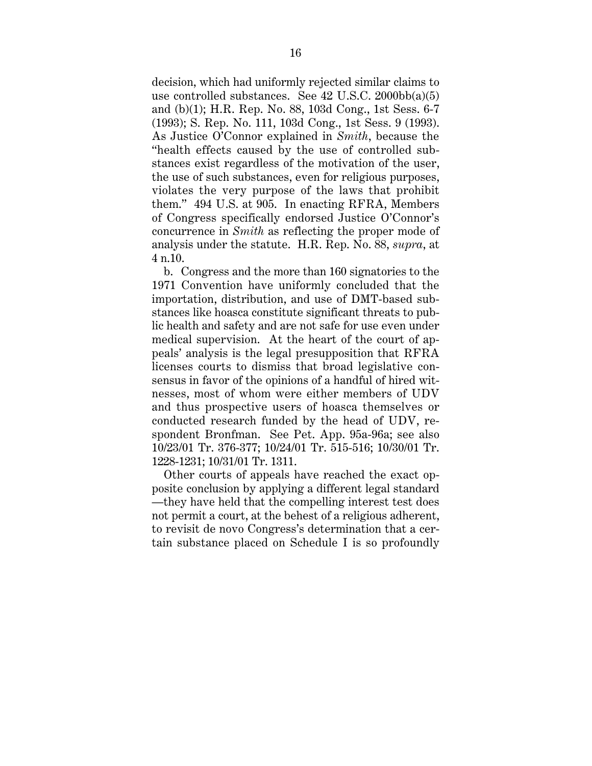decision, which had uniformly rejected similar claims to use controlled substances. See 42 U.S.C. 2000bb(a)(5) and (b)(1); H.R. Rep. No. 88, 103d Cong., 1st Sess. 6-7 (1993); S. Rep. No. 111, 103d Cong., 1st Sess. 9 (1993). As Justice O'Connor explained in *Smith*, because the "health effects caused by the use of controlled substances exist regardless of the motivation of the user, the use of such substances, even for religious purposes, violates the very purpose of the laws that prohibit them." 494 U.S. at 905. In enacting RFRA, Members of Congress specifically endorsed Justice O'Connor's concurrence in *Smith* as reflecting the proper mode of analysis under the statute. H.R. Rep. No. 88, *supra*, at 4 n.10.

b. Congress and the more than 160 signatories to the 1971 Convention have uniformly concluded that the importation, distribution, and use of DMT-based substances like hoasca constitute significant threats to public health and safety and are not safe for use even under medical supervision. At the heart of the court of appeals' analysis is the legal presupposition that RFRA licenses courts to dismiss that broad legislative consensus in favor of the opinions of a handful of hired witnesses, most of whom were either members of UDV and thus prospective users of hoasca themselves or conducted research funded by the head of UDV, respondent Bronfman. See Pet. App. 95a-96a; see also 10/23/01 Tr. 376-377; 10/24/01 Tr. 515-516; 10/30/01 Tr. 1228-1231; 10/31/01 Tr. 1311.

Other courts of appeals have reached the exact opposite conclusion by applying a different legal standard —they have held that the compelling interest test does not permit a court, at the behest of a religious adherent, to revisit de novo Congress's determination that a certain substance placed on Schedule I is so profoundly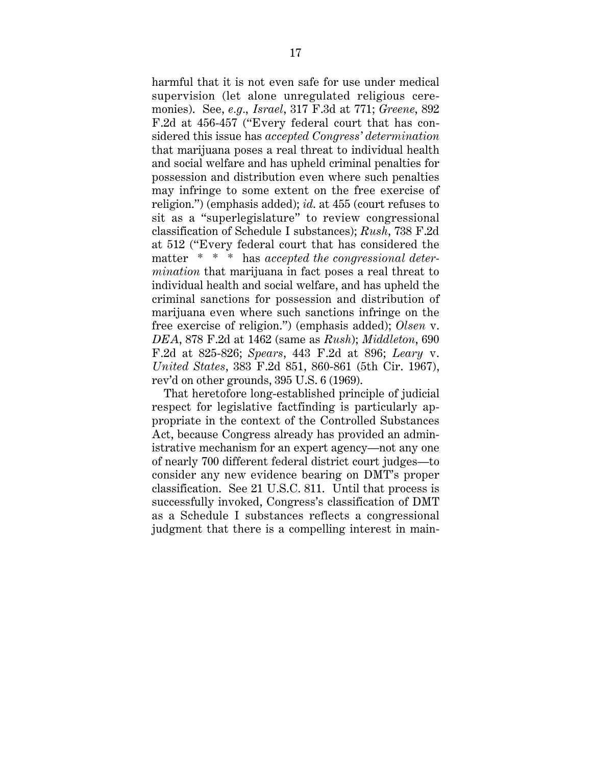harmful that it is not even safe for use under medical supervision (let alone unregulated religious ceremonies). See, *e.g.*, *Israel*, 317 F.3d at 771; *Greene*, 892 F.2d at 456-457 ("Every federal court that has considered this issue has *accepted Congress' determination* that marijuana poses a real threat to individual health and social welfare and has upheld criminal penalties for possession and distribution even where such penalties may infringe to some extent on the free exercise of religion.") (emphasis added); *id*. at 455 (court refuses to sit as a "superlegislature" to review congressional classification of Schedule I substances); *Rush*, 738 F.2d at 512 ("Every federal court that has considered the matter \* \* \* has *accepted the congressional determination* that marijuana in fact poses a real threat to individual health and social welfare, and has upheld the criminal sanctions for possession and distribution of marijuana even where such sanctions infringe on the free exercise of religion.") (emphasis added); *Olsen* v. *DEA*, 878 F.2d at 1462 (same as *Rush*); *Middleton*, 690 F.2d at 825-826; *Spears*, 443 F.2d at 896; *Leary* v. *United States*, 383 F.2d 851, 860-861 (5th Cir. 1967), rev'd on other grounds, 395 U.S. 6 (1969).

That heretofore long-established principle of judicial respect for legislative factfinding is particularly appropriate in the context of the Controlled Substances Act, because Congress already has provided an administrative mechanism for an expert agency—not any one of nearly 700 different federal district court judges—to consider any new evidence bearing on DMT's proper classification. See 21 U.S.C. 811. Until that process is successfully invoked, Congress's classification of DMT as a Schedule I substances reflects a congressional judgment that there is a compelling interest in main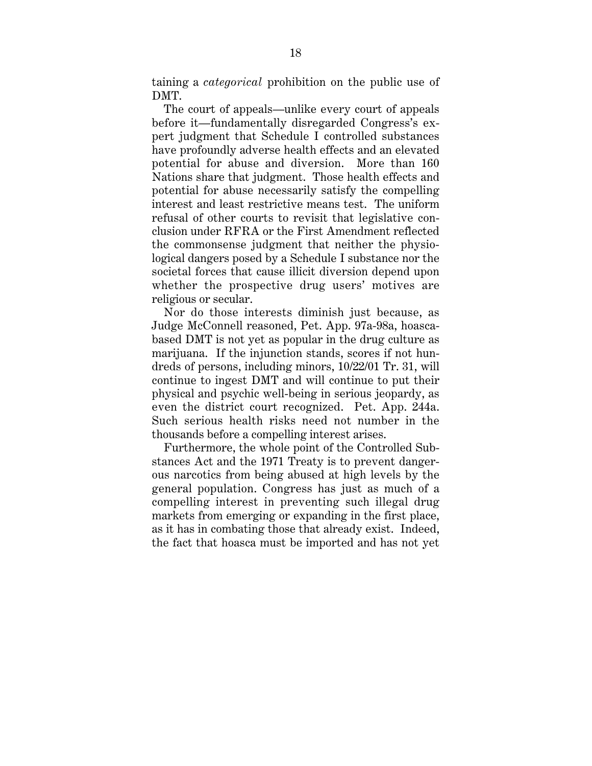taining a *categorical* prohibition on the public use of DMT.

The court of appeals—unlike every court of appeals before it—fundamentally disregarded Congress's expert judgment that Schedule I controlled substances have profoundly adverse health effects and an elevated potential for abuse and diversion. More than 160 Nations share that judgment. Those health effects and potential for abuse necessarily satisfy the compelling interest and least restrictive means test. The uniform refusal of other courts to revisit that legislative conclusion under RFRA or the First Amendment reflected the commonsense judgment that neither the physiological dangers posed by a Schedule I substance nor the societal forces that cause illicit diversion depend upon whether the prospective drug users' motives are religious or secular.

Nor do those interests diminish just because, as Judge McConnell reasoned, Pet. App. 97a-98a, hoascabased DMT is not yet as popular in the drug culture as marijuana. If the injunction stands, scores if not hundreds of persons, including minors, 10/22/01 Tr. 31, will continue to ingest DMT and will continue to put their physical and psychic well-being in serious jeopardy, as even the district court recognized. Pet. App. 244a. Such serious health risks need not number in the thousands before a compelling interest arises.

Furthermore, the whole point of the Controlled Substances Act and the 1971 Treaty is to prevent dangerous narcotics from being abused at high levels by the general population. Congress has just as much of a compelling interest in preventing such illegal drug markets from emerging or expanding in the first place, as it has in combating those that already exist. Indeed, the fact that hoasca must be imported and has not yet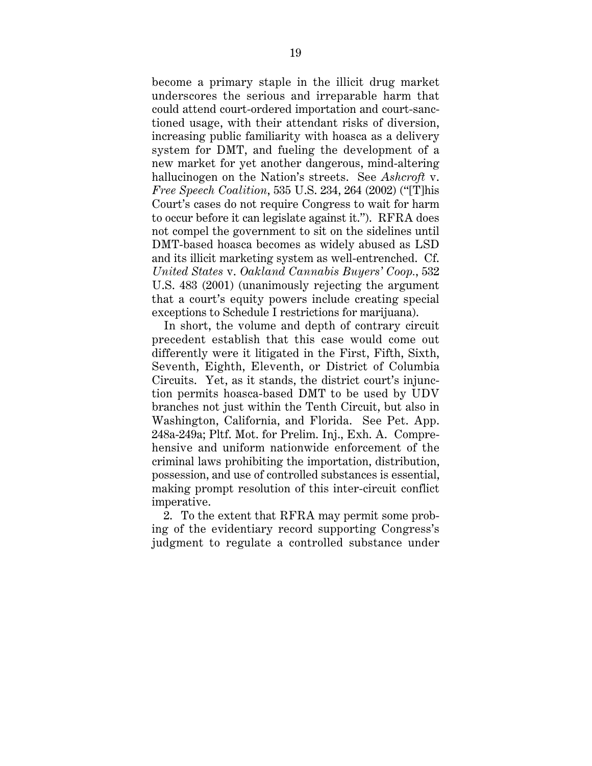become a primary staple in the illicit drug market underscores the serious and irreparable harm that could attend court-ordered importation and court-sanctioned usage, with their attendant risks of diversion, increasing public familiarity with hoasca as a delivery system for DMT, and fueling the development of a new market for yet another dangerous, mind-altering hallucinogen on the Nation's streets. See *Ashcroft* v. *Free Speech Coalition*, 535 U.S. 234, 264 (2002) ("[T]his Court's cases do not require Congress to wait for harm to occur before it can legislate against it."). RFRA does not compel the government to sit on the sidelines until DMT-based hoasca becomes as widely abused as LSD and its illicit marketing system as well-entrenched. Cf. *United States* v. *Oakland Cannabis Buyers' Coop.*, 532 U.S. 483 (2001) (unanimously rejecting the argument that a court's equity powers include creating special exceptions to Schedule I restrictions for marijuana).

In short, the volume and depth of contrary circuit precedent establish that this case would come out differently were it litigated in the First, Fifth, Sixth, Seventh, Eighth, Eleventh, or District of Columbia Circuits. Yet, as it stands, the district court's injunction permits hoasca-based DMT to be used by UDV branches not just within the Tenth Circuit, but also in Washington, California, and Florida. See Pet. App. 248a-249a; Pltf. Mot. for Prelim. Inj., Exh. A. Comprehensive and uniform nationwide enforcement of the criminal laws prohibiting the importation, distribution, possession, and use of controlled substances is essential, making prompt resolution of this inter-circuit conflict imperative.

2. To the extent that RFRA may permit some probing of the evidentiary record supporting Congress's judgment to regulate a controlled substance under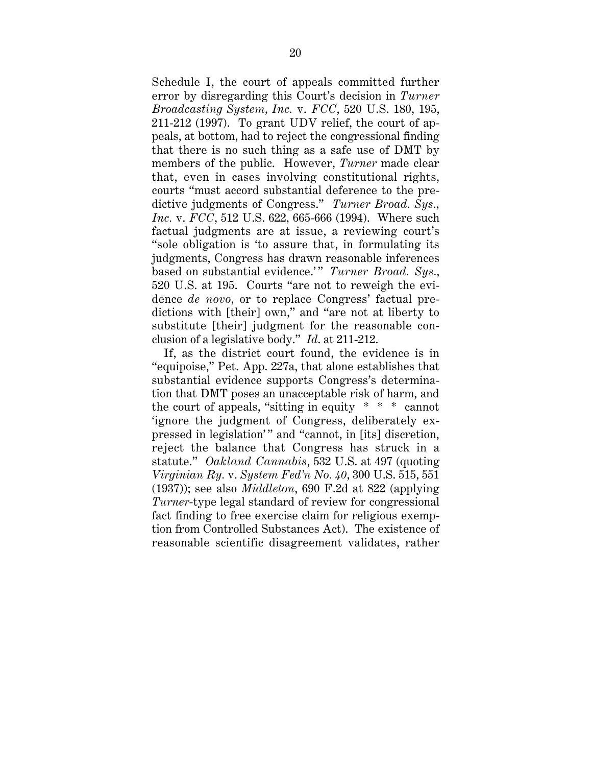Schedule I, the court of appeals committed further error by disregarding this Court's decision in *Turner Broadcasting System, Inc.* v. *FCC*, 520 U.S. 180, 195, 211-212 (1997). To grant UDV relief, the court of appeals, at bottom, had to reject the congressional finding that there is no such thing as a safe use of DMT by members of the public. However, *Turner* made clear that, even in cases involving constitutional rights, courts "must accord substantial deference to the predictive judgments of Congress." *Turner Broad. Sys., Inc.* v. *FCC*, 512 U.S. 622, 665-666 (1994). Where such factual judgments are at issue, a reviewing court's "sole obligation is 'to assure that, in formulating its judgments, Congress has drawn reasonable inferences based on substantial evidence.'" *Turner Broad. Sys.*, 520 U.S. at 195. Courts "are not to reweigh the evidence *de novo*, or to replace Congress' factual predictions with [their] own," and "are not at liberty to substitute [their] judgment for the reasonable conclusion of a legislative body." *Id*. at 211-212.

If, as the district court found, the evidence is in "equipoise," Pet. App. 227a, that alone establishes that substantial evidence supports Congress's determination that DMT poses an unacceptable risk of harm, and the court of appeals, "sitting in equity \* \* \* cannot 'ignore the judgment of Congress, deliberately expressed in legislation'" and "cannot, in [its] discretion, reject the balance that Congress has struck in a statute." *Oakland Cannabis*, 532 U.S. at 497 (quoting *Virginian Ry.* v. *System Fed'n No. 40*, 300 U.S. 515, 551 (1937)); see also *Middleton*, 690 F.2d at 822 (applying *Turner*-type legal standard of review for congressional fact finding to free exercise claim for religious exemption from Controlled Substances Act). The existence of reasonable scientific disagreement validates, rather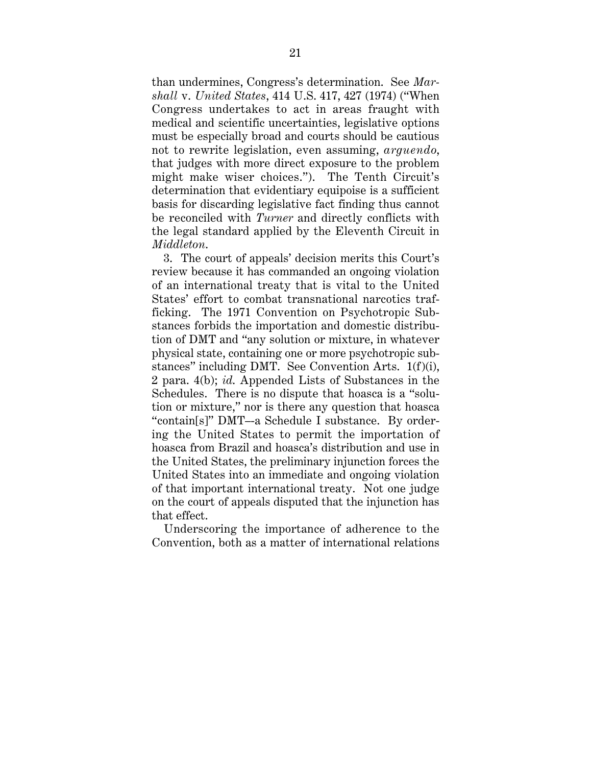than undermines, Congress's determination. See *Marshall* v. *United States*, 414 U.S. 417, 427 (1974) ("When Congress undertakes to act in areas fraught with medical and scientific uncertainties, legislative options must be especially broad and courts should be cautious not to rewrite legislation, even assuming, *arguendo*, that judges with more direct exposure to the problem might make wiser choices."). The Tenth Circuit's determination that evidentiary equipoise is a sufficient basis for discarding legislative fact finding thus cannot be reconciled with *Turner* and directly conflicts with the legal standard applied by the Eleventh Circuit in *Middleton*.

3. The court of appeals' decision merits this Court's review because it has commanded an ongoing violation of an international treaty that is vital to the United States' effort to combat transnational narcotics trafficking. The 1971 Convention on Psychotropic Substances forbids the importation and domestic distribution of DMT and "any solution or mixture, in whatever physical state, containing one or more psychotropic substances" including DMT. See Convention Arts.  $1(f)(i)$ , 2 para. 4(b); *id*. Appended Lists of Substances in the Schedules. There is no dispute that hoasca is a "solution or mixture," nor is there any question that hoasca "contain[s]" DMT–-a Schedule I substance. By ordering the United States to permit the importation of hoasca from Brazil and hoasca's distribution and use in the United States, the preliminary injunction forces the United States into an immediate and ongoing violation of that important international treaty. Not one judge on the court of appeals disputed that the injunction has that effect.

Underscoring the importance of adherence to the Convention, both as a matter of international relations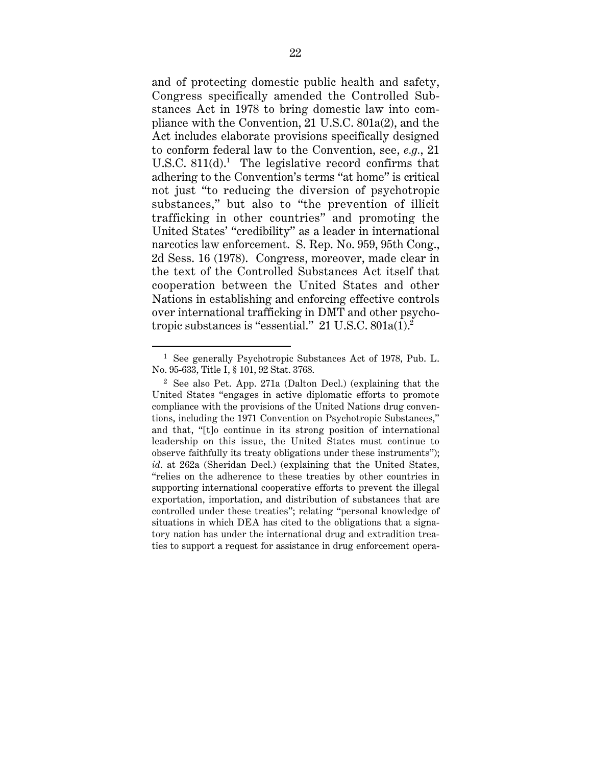and of protecting domestic public health and safety, Congress specifically amended the Controlled Substances Act in 1978 to bring domestic law into compliance with the Convention, 21 U.S.C. 801a(2), and the Act includes elaborate provisions specifically designed to conform federal law to the Convention, see, *e.g.*, 21 U.S.C.  $811(d)$ .<sup>1</sup> The legislative record confirms that adhering to the Convention's terms "at home" is critical not just "to reducing the diversion of psychotropic substances," but also to "the prevention of illicit trafficking in other countries" and promoting the United States' "credibility" as a leader in international narcotics law enforcement. S. Rep. No. 959, 95th Cong., 2d Sess. 16 (1978). Congress, moreover, made clear in the text of the Controlled Substances Act itself that cooperation between the United States and other Nations in establishing and enforcing effective controls over international trafficking in DMT and other psychotropic substances is "essential." 21 U.S.C.  $801a(1)^2$ 

 <sup>1</sup> See generally Psychotropic Substances Act of 1978, Pub. L. No. 95-633, Title I, § 101, 92 Stat. 3768.

<sup>2</sup> See also Pet. App. 271a (Dalton Decl.) (explaining that the United States "engages in active diplomatic efforts to promote compliance with the provisions of the United Nations drug conventions, including the 1971 Convention on Psychotropic Substances," and that, "[t]o continue in its strong position of international leadership on this issue, the United States must continue to observe faithfully its treaty obligations under these instruments"); *id*. at 262a (Sheridan Decl.) (explaining that the United States, "relies on the adherence to these treaties by other countries in supporting international cooperative efforts to prevent the illegal exportation, importation, and distribution of substances that are controlled under these treaties"; relating "personal knowledge of situations in which DEA has cited to the obligations that a signatory nation has under the international drug and extradition treaties to support a request for assistance in drug enforcement opera-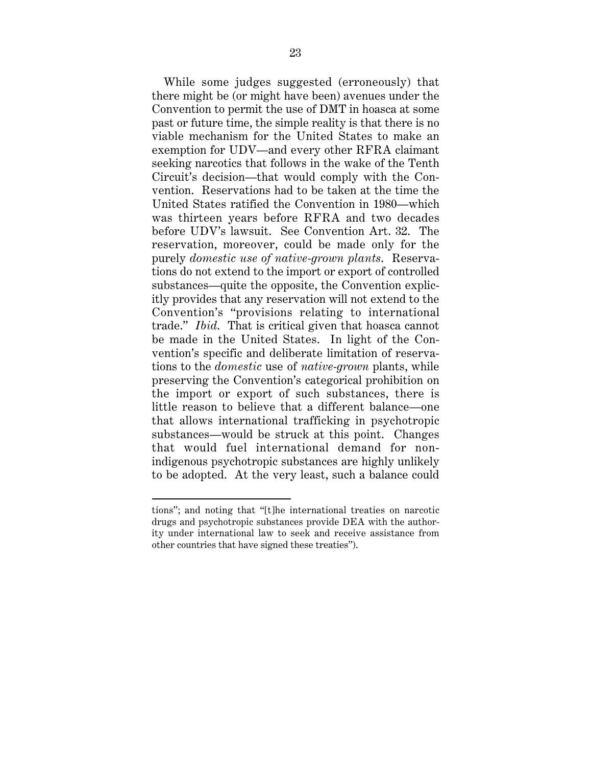While some judges suggested (erroneously) that there might be (or might have been) avenues under the Convention to permit the use of DMT in hoasca at some past or future time, the simple reality is that there is no viable mechanism for the United States to make an exemption for UDV—and every other RFRA claimant seeking narcotics that follows in the wake of the Tenth Circuit's decision—that would comply with the Convention. Reservations had to be taken at the time the United States ratified the Convention in 1980—which was thirteen years before RFRA and two decades before UDV's lawsuit. See Convention Art. 32. The reservation, moreover, could be made only for the purely *domestic use of native-grown plants*. Reservations do not extend to the import or export of controlled substances—quite the opposite, the Convention explicitly provides that any reservation will not extend to the Convention's "provisions relating to international trade." *Ibid*. That is critical given that hoasca cannot be made in the United States. In light of the Convention's specific and deliberate limitation of reservations to the *domestic* use of *native-grown* plants, while preserving the Convention's categorical prohibition on the import or export of such substances, there is little reason to believe that a different balance—one that allows international trafficking in psychotropic substances—would be struck at this point. Changes that would fuel international demand for nonindigenous psychotropic substances are highly unlikely to be adopted. At the very least, such a balance could

tions"; and noting that "[t]he international treaties on narcotic drugs and psychotropic substances provide DEA with the authority under international law to seek and receive assistance from other countries that have signed these treaties").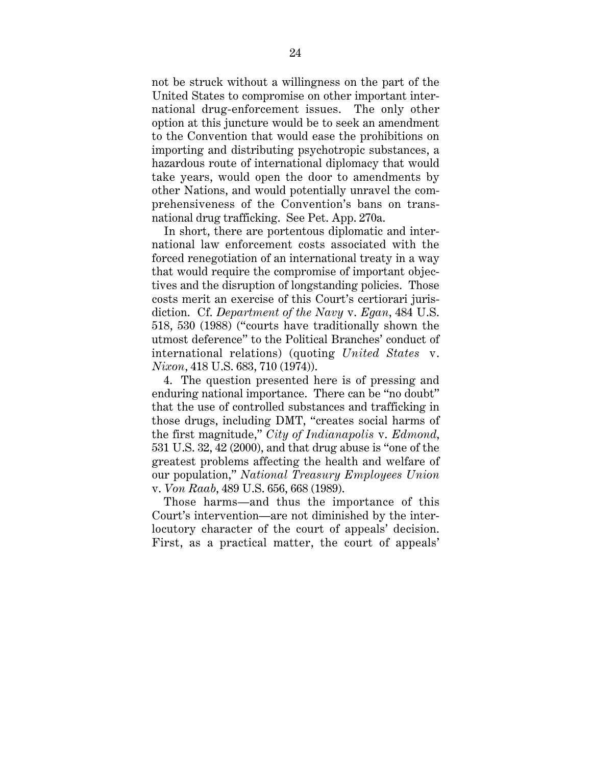not be struck without a willingness on the part of the United States to compromise on other important international drug-enforcement issues. The only other option at this juncture would be to seek an amendment to the Convention that would ease the prohibitions on importing and distributing psychotropic substances, a hazardous route of international diplomacy that would take years, would open the door to amendments by other Nations, and would potentially unravel the comprehensiveness of the Convention's bans on transnational drug trafficking. See Pet. App. 270a.

In short, there are portentous diplomatic and international law enforcement costs associated with the forced renegotiation of an international treaty in a way that would require the compromise of important objectives and the disruption of longstanding policies. Those costs merit an exercise of this Court's certiorari jurisdiction. Cf. *Department of the Navy* v. *Egan*, 484 U.S. 518, 530 (1988) ("courts have traditionally shown the utmost deference" to the Political Branches' conduct of international relations) (quoting *United States* v. *Nixon*, 418 U.S. 683, 710 (1974)).

4. The question presented here is of pressing and enduring national importance. There can be "no doubt" that the use of controlled substances and trafficking in those drugs, including DMT, "creates social harms of the first magnitude," *City of Indianapolis* v. *Edmond*, 531 U.S. 32, 42 (2000), and that drug abuse is "one of the greatest problems affecting the health and welfare of our population," *National Treasury Employees Union* v. *Von Raab*, 489 U.S. 656, 668 (1989).

Those harms—and thus the importance of this Court's intervention—are not diminished by the interlocutory character of the court of appeals' decision. First, as a practical matter, the court of appeals'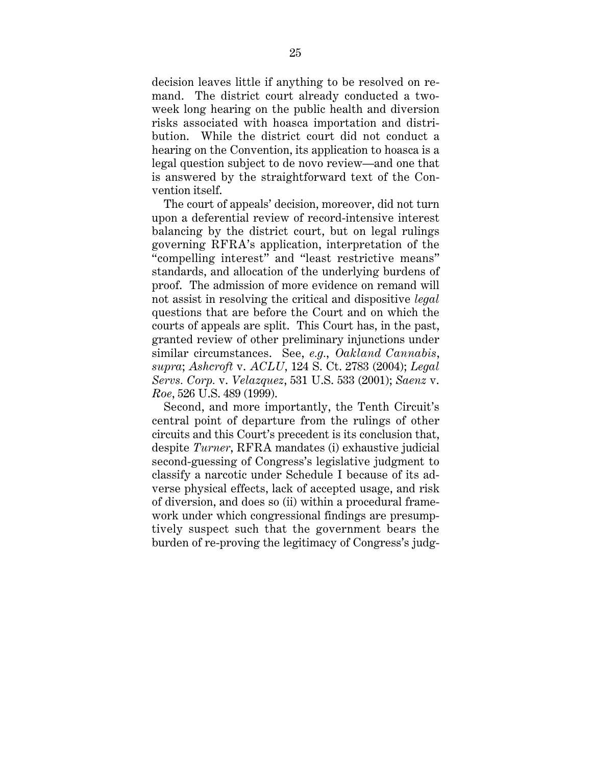decision leaves little if anything to be resolved on remand. The district court already conducted a twoweek long hearing on the public health and diversion risks associated with hoasca importation and distribution. While the district court did not conduct a hearing on the Convention, its application to hoasca is a legal question subject to de novo review—and one that is answered by the straightforward text of the Convention itself.

The court of appeals' decision, moreover, did not turn upon a deferential review of record-intensive interest balancing by the district court, but on legal rulings governing RFRA's application, interpretation of the "compelling interest" and "least restrictive means" standards, and allocation of the underlying burdens of proof. The admission of more evidence on remand will not assist in resolving the critical and dispositive *legal* questions that are before the Court and on which the courts of appeals are split. This Court has, in the past, granted review of other preliminary injunctions under similar circumstances. See, *e.g.*, *Oakland Cannabis*, *supra*; *Ashcroft* v. *ACLU*, 124 S. Ct. 2783 (2004); *Legal Servs. Corp.* v. *Velazquez*, 531 U.S. 533 (2001); *Saenz* v. *Roe*, 526 U.S. 489 (1999).

Second, and more importantly, the Tenth Circuit's central point of departure from the rulings of other circuits and this Court's precedent is its conclusion that, despite *Turner*, RFRA mandates (i) exhaustive judicial second-guessing of Congress's legislative judgment to classify a narcotic under Schedule I because of its adverse physical effects, lack of accepted usage, and risk of diversion, and does so (ii) within a procedural framework under which congressional findings are presumptively suspect such that the government bears the burden of re-proving the legitimacy of Congress's judg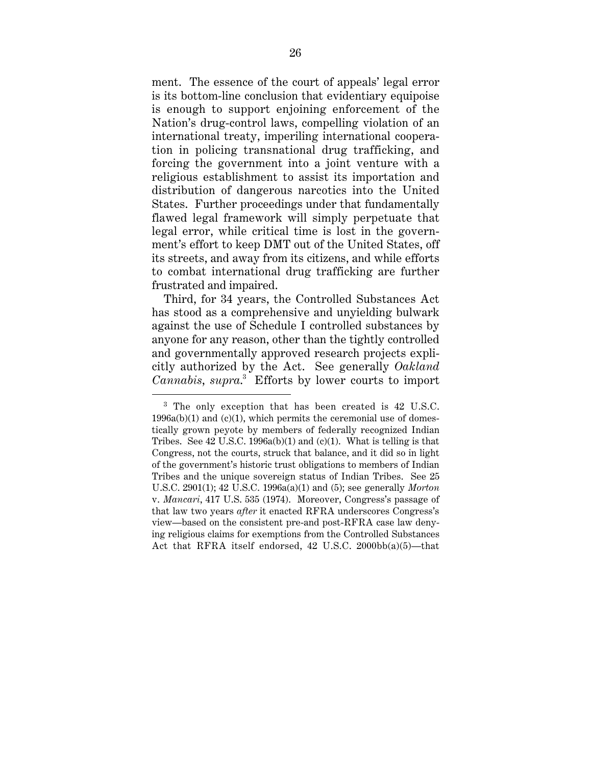ment. The essence of the court of appeals' legal error is its bottom-line conclusion that evidentiary equipoise is enough to support enjoining enforcement of the Nation's drug-control laws, compelling violation of an international treaty, imperiling international cooperation in policing transnational drug trafficking, and forcing the government into a joint venture with a religious establishment to assist its importation and distribution of dangerous narcotics into the United States. Further proceedings under that fundamentally flawed legal framework will simply perpetuate that legal error, while critical time is lost in the government's effort to keep DMT out of the United States, off its streets, and away from its citizens, and while efforts to combat international drug trafficking are further frustrated and impaired.

Third, for 34 years, the Controlled Substances Act has stood as a comprehensive and unyielding bulwark against the use of Schedule I controlled substances by anyone for any reason, other than the tightly controlled and governmentally approved research projects explicitly authorized by the Act. See generally *Oakland Cannabis*, *supra*. 3 Efforts by lower courts to import

 <sup>3</sup> The only exception that has been created is 42 U.S.C.  $1996a(b)(1)$  and  $(c)(1)$ , which permits the ceremonial use of domestically grown peyote by members of federally recognized Indian Tribes. See  $42 \text{ U.S.C. } 1996a(b)(1)$  and  $(c)(1)$ . What is telling is that Congress, not the courts, struck that balance, and it did so in light of the government's historic trust obligations to members of Indian Tribes and the unique sovereign status of Indian Tribes. See 25 U.S.C. 2901(1); 42 U.S.C. 1996a(a)(1) and (5); see generally *Morton* v. *Mancari*, 417 U.S. 535 (1974). Moreover, Congress's passage of that law two years *after* it enacted RFRA underscores Congress's view—based on the consistent pre-and post-RFRA case law denying religious claims for exemptions from the Controlled Substances Act that RFRA itself endorsed, 42 U.S.C. 2000bb(a)(5)—that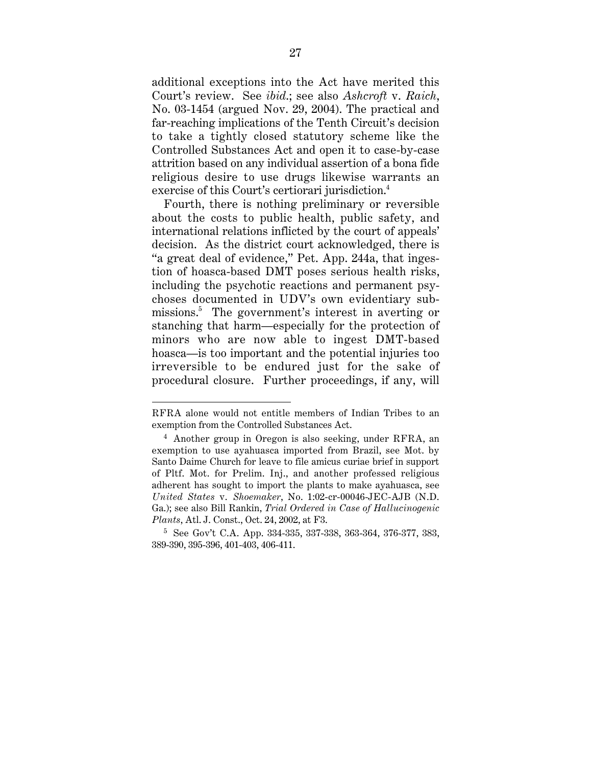additional exceptions into the Act have merited this Court's review. See *ibid*.; see also *Ashcroft* v. *Raich*, No. 03-1454 (argued Nov. 29, 2004). The practical and far-reaching implications of the Tenth Circuit's decision to take a tightly closed statutory scheme like the Controlled Substances Act and open it to case-by-case attrition based on any individual assertion of a bona fide religious desire to use drugs likewise warrants an exercise of this Court's certiorari jurisdiction.<sup>4</sup>

Fourth, there is nothing preliminary or reversible about the costs to public health, public safety, and international relations inflicted by the court of appeals' decision. As the district court acknowledged, there is "a great deal of evidence," Pet. App. 244a, that ingestion of hoasca-based DMT poses serious health risks, including the psychotic reactions and permanent psychoses documented in UDV's own evidentiary submissions.5 The government's interest in averting or stanching that harm—especially for the protection of minors who are now able to ingest DMT-based hoasca—is too important and the potential injuries too irreversible to be endured just for the sake of procedural closure. Further proceedings, if any, will

RFRA alone would not entitle members of Indian Tribes to an exemption from the Controlled Substances Act.

<sup>4</sup> Another group in Oregon is also seeking, under RFRA, an exemption to use ayahuasca imported from Brazil, see Mot. by Santo Daime Church for leave to file amicus curiae brief in support of Pltf. Mot. for Prelim. Inj., and another professed religious adherent has sought to import the plants to make ayahuasca, see *United States* v. *Shoemaker*, No. 1:02-cr-00046-JEC-AJB (N.D. Ga.); see also Bill Rankin, *Trial Ordered in Case of Hallucinogenic Plants*, Atl. J. Const., Oct. 24, 2002, at F3.

<sup>5</sup> See Gov't C.A. App. 334-335, 337-338, 363-364, 376-377, 383, 389-390, 395-396, 401-403, 406-411.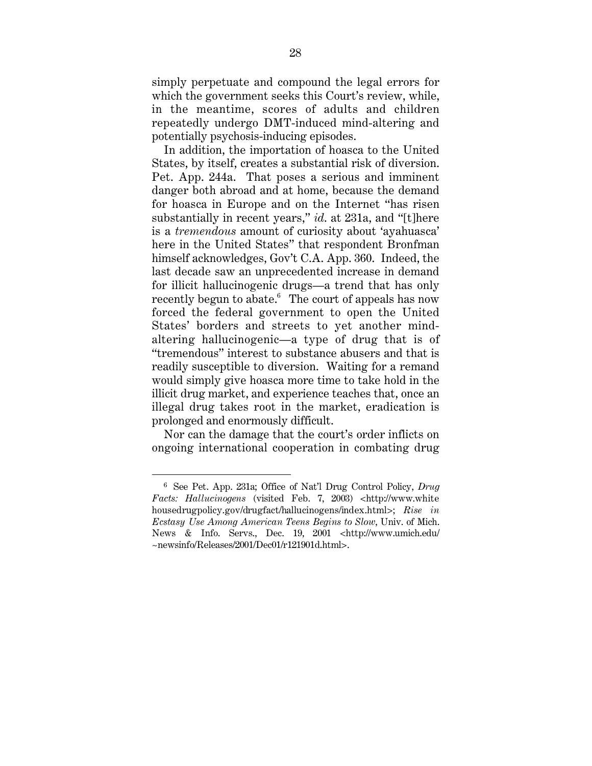simply perpetuate and compound the legal errors for which the government seeks this Court's review, while, in the meantime, scores of adults and children repeatedly undergo DMT-induced mind-altering and potentially psychosis-inducing episodes.

In addition, the importation of hoasca to the United States, by itself, creates a substantial risk of diversion. Pet. App. 244a. That poses a serious and imminent danger both abroad and at home, because the demand for hoasca in Europe and on the Internet "has risen substantially in recent years," *id*. at 231a, and "[t]here is a *tremendous* amount of curiosity about 'ayahuasca' here in the United States" that respondent Bronfman himself acknowledges, Gov't C.A. App. 360. Indeed, the last decade saw an unprecedented increase in demand for illicit hallucinogenic drugs—a trend that has only recently begun to abate. $6$  The court of appeals has now forced the federal government to open the United States' borders and streets to yet another mindaltering hallucinogenic—a type of drug that is of "tremendous" interest to substance abusers and that is readily susceptible to diversion. Waiting for a remand would simply give hoasca more time to take hold in the illicit drug market, and experience teaches that, once an illegal drug takes root in the market, eradication is prolonged and enormously difficult.

Nor can the damage that the court's order inflicts on ongoing international cooperation in combating drug

 $6$  See Pet. App. 231a; Office of Nat'l Drug Control Policy, *Drug Facts: Hallucinogens* (visited Feb. 7, 2003) <http://www.white housed rugpolicy.gov/drugfact/hallucinogens/index.html>; Rise in *Ecstasy Use Among American Teens Begins to Slow*, Univ. of Mich. News & Info. Servs., Dec. 19, 2001 <http://www.umich.edu/  $\sim$ newsinfo/Releases/2001/Dec01/r121901d.html>.